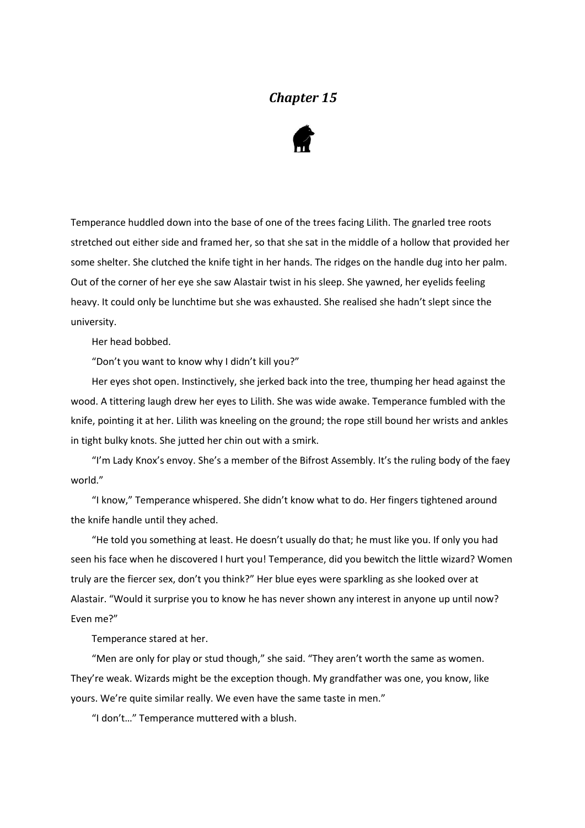## *Chapter 15*



Temperance huddled down into the base of one of the trees facing Lilith. The gnarled tree roots stretched out either side and framed her, so that she sat in the middle of a hollow that provided her some shelter. She clutched the knife tight in her hands. The ridges on the handle dug into her palm. Out of the corner of her eye she saw Alastair twist in his sleep. She yawned, her eyelids feeling heavy. It could only be lunchtime but she was exhausted. She realised she hadn't slept since the university.

Her head bobbed.

"Don't you want to know why I didn't kill you?"

Her eyes shot open. Instinctively, she jerked back into the tree, thumping her head against the wood. A tittering laugh drew her eyes to Lilith. She was wide awake. Temperance fumbled with the knife, pointing it at her. Lilith was kneeling on the ground; the rope still bound her wrists and ankles in tight bulky knots. She jutted her chin out with a smirk.

"I'm Lady Knox's envoy. She's a member of the Bifrost Assembly. It's the ruling body of the faey world."

"I know," Temperance whispered. She didn't know what to do. Her fingers tightened around the knife handle until they ached.

"He told you something at least. He doesn't usually do that; he must like you. If only you had seen his face when he discovered I hurt you! Temperance, did you bewitch the little wizard? Women truly are the fiercer sex, don't you think?" Her blue eyes were sparkling as she looked over at Alastair. "Would it surprise you to know he has never shown any interest in anyone up until now? Even me?"

Temperance stared at her.

"Men are only for play or stud though," she said. "They aren't worth the same as women. They're weak. Wizards might be the exception though. My grandfather was one, you know, like yours. We're quite similar really. We even have the same taste in men."

"I don't…" Temperance muttered with a blush.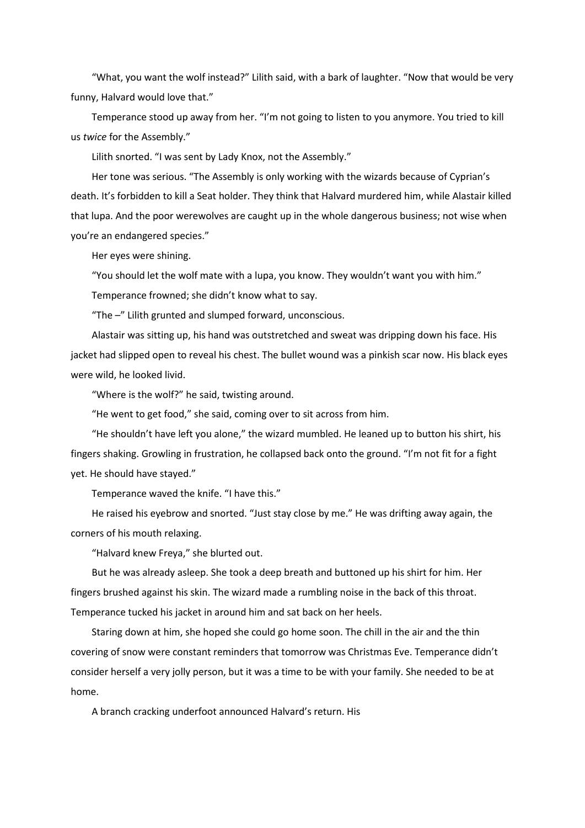"What, you want the wolf instead?" Lilith said, with a bark of laughter. "Now that would be very funny, Halvard would love that."

Temperance stood up away from her. "I'm not going to listen to you anymore. You tried to kill us *twice* for the Assembly."

Lilith snorted. "I was sent by Lady Knox, not the Assembly."

Her tone was serious. "The Assembly is only working with the wizards because of Cyprian's death. It's forbidden to kill a Seat holder. They think that Halvard murdered him, while Alastair killed that lupa. And the poor werewolves are caught up in the whole dangerous business; not wise when you're an endangered species."

Her eyes were shining.

"You should let the wolf mate with a lupa, you know. They wouldn't want you with him."

Temperance frowned; she didn't know what to say.

"The –" Lilith grunted and slumped forward, unconscious.

Alastair was sitting up, his hand was outstretched and sweat was dripping down his face. His jacket had slipped open to reveal his chest. The bullet wound was a pinkish scar now. His black eyes were wild, he looked livid.

"Where is the wolf?" he said, twisting around.

"He went to get food," she said, coming over to sit across from him.

"He shouldn't have left you alone," the wizard mumbled. He leaned up to button his shirt, his fingers shaking. Growling in frustration, he collapsed back onto the ground. "I'm not fit for a fight yet. He should have stayed."

Temperance waved the knife. "I have this."

He raised his eyebrow and snorted. "Just stay close by me." He was drifting away again, the corners of his mouth relaxing.

"Halvard knew Freya," she blurted out.

But he was already asleep. She took a deep breath and buttoned up his shirt for him. Her fingers brushed against his skin. The wizard made a rumbling noise in the back of this throat. Temperance tucked his jacket in around him and sat back on her heels.

Staring down at him, she hoped she could go home soon. The chill in the air and the thin covering of snow were constant reminders that tomorrow was Christmas Eve. Temperance didn't consider herself a very jolly person, but it was a time to be with your family. She needed to be at home.

A branch cracking underfoot announced Halvard's return. His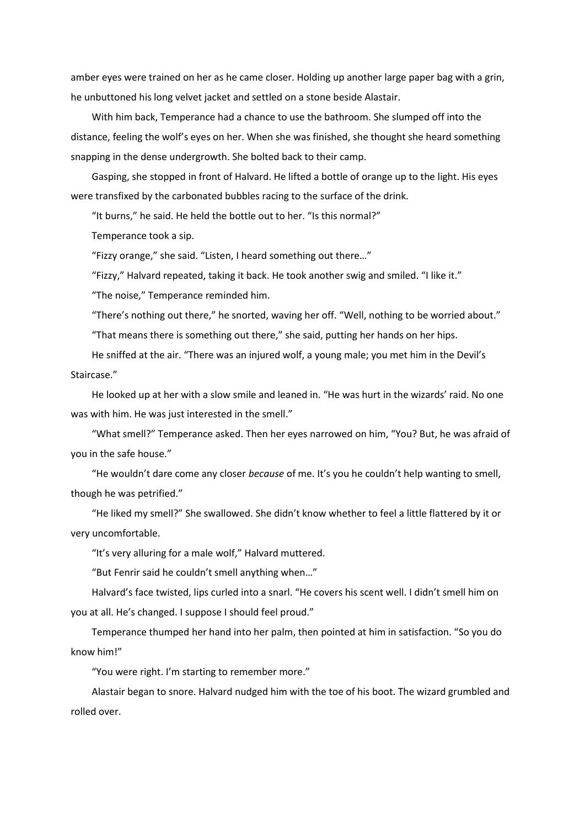amber eyes were trained on her as he came closer. Holding up another large paper bag with a grin, he unbuttoned his long velvet jacket and settled on a stone beside Alastair.

With him back, Temperance had a chance to use the bathroom. She slumped off into the distance, feeling the wolf's eyes on her. When she was finished, she thought she heard something snapping in the dense undergrowth. She bolted back to their camp.

Gasping, she stopped in front of Halvard. He lifted a bottle of orange up to the light. His eyes were transfixed by the carbonated bubbles racing to the surface of the drink.

"It burns," he said. He held the bottle out to her. "Is this normal?"

Temperance took a sip.

"Fizzy orange," she said. "Listen, I heard something out there…"

"Fizzy," Halvard repeated, taking it back. He took another swig and smiled. "I like it."

"The noise," Temperance reminded him.

"There's nothing out there," he snorted, waving her off. "Well, nothing to be worried about."

"That means there is something out there," she said, putting her hands on her hips.

He sniffed at the air. "There was an injured wolf, a young male; you met him in the Devil's Staircase."

He looked up at her with a slow smile and leaned in. "He was hurt in the wizards' raid. No one was with him. He was just interested in the smell."

"What smell?" Temperance asked. Then her eyes narrowed on him, "You? But, he was afraid of you in the safe house."

"He wouldn't dare come any closer *because* of me. It's you he couldn't help wanting to smell, though he was petrified."

"He liked my smell?" She swallowed. She didn't know whether to feel a little flattered by it or very uncomfortable.

"It's very alluring for a male wolf," Halvard muttered.

"But Fenrir said he couldn't smell anything when…"

Halvard's face twisted, lips curled into a snarl. "He covers his scent well. I didn't smell him on you at all. He's changed. I suppose I should feel proud."

Temperance thumped her hand into her palm, then pointed at him in satisfaction. "So you do know him!"

"You were right. I'm starting to remember more."

Alastair began to snore. Halvard nudged him with the toe of his boot. The wizard grumbled and rolled over.